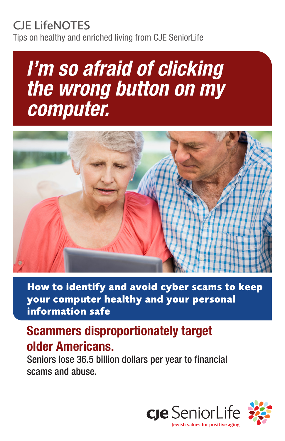### CJE LifeNOTES Tips on healthy and enriched living from CJE SeniorLife

# *I'm so afraid of clicking the wrong button on my computer.*



**How to identify and avoid cyber scams to keep your computer healthy and your personal information safe**

# Scammers disproportionately target older Americans.

Seniors lose 36.5 billion dollars per year to financial scams and abuse.

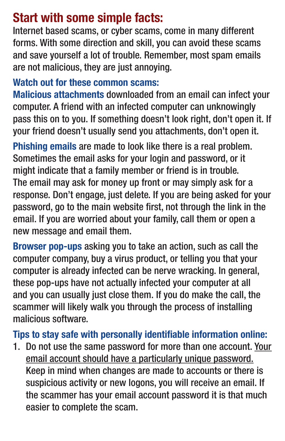# Start with some simple facts:

Internet based scams, or cyber scams, come in many different forms. With some direction and skill, you can avoid these scams and save yourself a lot of trouble. Remember, most spam emails are not malicious, they are just annoying.

#### Watch out for these common scams:

Malicious attachments downloaded from an email can infect your computer. A friend with an infected computer can unknowingly pass this on to you. If something doesn't look right, don't open it. If your friend doesn't usually send you attachments, don't open it.

Phishing emails are made to look like there is a real problem. Sometimes the email asks for your login and password, or it might indicate that a family member or friend is in trouble. The email may ask for money up front or may simply ask for a response. Don't engage, just delete. If you are being asked for your password, go to the main website first, not through the link in the email. If you are worried about your family, call them or open a new message and email them.

Browser pop-ups asking you to take an action, such as call the computer company, buy a virus product, or telling you that your computer is already infected can be nerve wracking. In general, these pop-ups have not actually infected your computer at all and you can usually just close them. If you do make the call, the scammer will likely walk you through the process of installing malicious software.

### Tips to stay safe with personally identifiable information online:

1. Do not use the same password for more than one account. Your email account should have a particularly unique password. Keep in mind when changes are made to accounts or there is suspicious activity or new logons, you will receive an email. If the scammer has your email account password it is that much easier to complete the scam.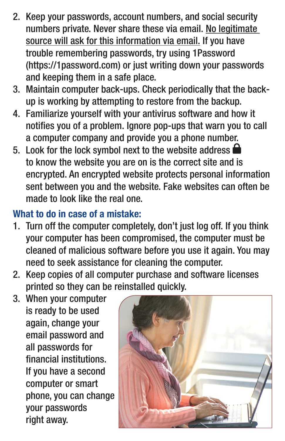- 2. Keep your passwords, account numbers, and social security numbers private. Never share these via email. No legitimate source will ask for this information via email. If you have trouble remembering passwords, try using 1Password (https://1password.com) or just writing down your passwords and keeping them in a safe place.
- 3. Maintain computer back-ups. Check periodically that the backup is working by attempting to restore from the backup.
- 4. Familiarize yourself with your antivirus software and how it notifies you of a problem. Ignore pop-ups that warn you to call a computer company and provide you a phone number.
- 5. Look for the lock symbol next to the website address  $\blacksquare$ to know the website you are on is the correct site and is encrypted. An encrypted website protects personal information sent between you and the website. Fake websites can often be made to look like the real one.

## What to do in case of a mistake:

- 1. Turn off the computer completely, don't just log off. If you think your computer has been compromised, the computer must be cleaned of malicious software before you use it again. You may need to seek assistance for cleaning the computer.
- 2. Keep copies of all computer purchase and software licenses printed so they can be reinstalled quickly.
- 3. When your computer is ready to be used again, change your email password and all passwords for financial institutions. If you have a second computer or smart phone, you can change your passwords right away.